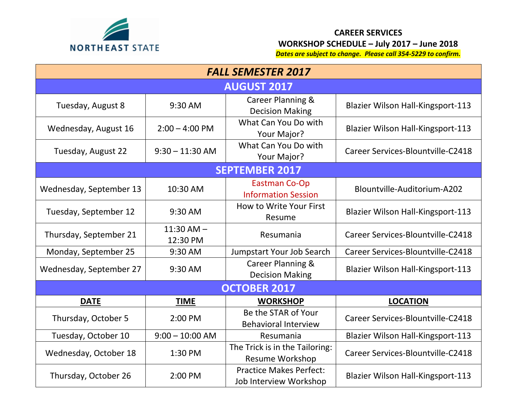

## **CAREER SERVICES WORKSHOP SCHEDULE – July 2017 – June 2018**

*Dates are subject to change. Please call 354-5229 to confirm.*

| <b>FALL SEMESTER 2017</b> |                            |                                                          |                                          |  |  |
|---------------------------|----------------------------|----------------------------------------------------------|------------------------------------------|--|--|
| <b>AUGUST 2017</b>        |                            |                                                          |                                          |  |  |
| Tuesday, August 8         | 9:30 AM                    | Career Planning &<br><b>Decision Making</b>              | <b>Blazier Wilson Hall-Kingsport-113</b> |  |  |
| Wednesday, August 16      | $2:00 - 4:00$ PM           | What Can You Do with<br>Your Major?                      | <b>Blazier Wilson Hall-Kingsport-113</b> |  |  |
| Tuesday, August 22        | $9:30 - 11:30$ AM          | What Can You Do with<br>Your Major?                      | Career Services-Blountville-C2418        |  |  |
| <b>SEPTEMBER 2017</b>     |                            |                                                          |                                          |  |  |
| Wednesday, September 13   | 10:30 AM                   | <b>Eastman Co-Op</b><br><b>Information Session</b>       | Blountville-Auditorium-A202              |  |  |
| Tuesday, September 12     | 9:30 AM                    | How to Write Your First<br>Resume                        | <b>Blazier Wilson Hall-Kingsport-113</b> |  |  |
| Thursday, September 21    | $11:30$ AM $-$<br>12:30 PM | Resumania                                                | Career Services-Blountville-C2418        |  |  |
| Monday, September 25      | 9:30 AM                    | Jumpstart Your Job Search                                | Career Services-Blountville-C2418        |  |  |
| Wednesday, September 27   | 9:30 AM                    | Career Planning &<br><b>Decision Making</b>              | <b>Blazier Wilson Hall-Kingsport-113</b> |  |  |
| <b>OCTOBER 2017</b>       |                            |                                                          |                                          |  |  |
| <b>DATE</b>               | <b>TIME</b>                | <b>WORKSHOP</b>                                          | <b>LOCATION</b>                          |  |  |
| Thursday, October 5       | 2:00 PM                    | Be the STAR of Your<br><b>Behavioral Interview</b>       | Career Services-Blountville-C2418        |  |  |
| Tuesday, October 10       | $9:00 - 10:00$ AM          | Resumania                                                | <b>Blazier Wilson Hall-Kingsport-113</b> |  |  |
| Wednesday, October 18     | 1:30 PM                    | The Trick is in the Tailoring:<br><b>Resume Workshop</b> | Career Services-Blountville-C2418        |  |  |
| Thursday, October 26      | 2:00 PM                    | <b>Practice Makes Perfect:</b><br>Job Interview Workshop | <b>Blazier Wilson Hall-Kingsport-113</b> |  |  |